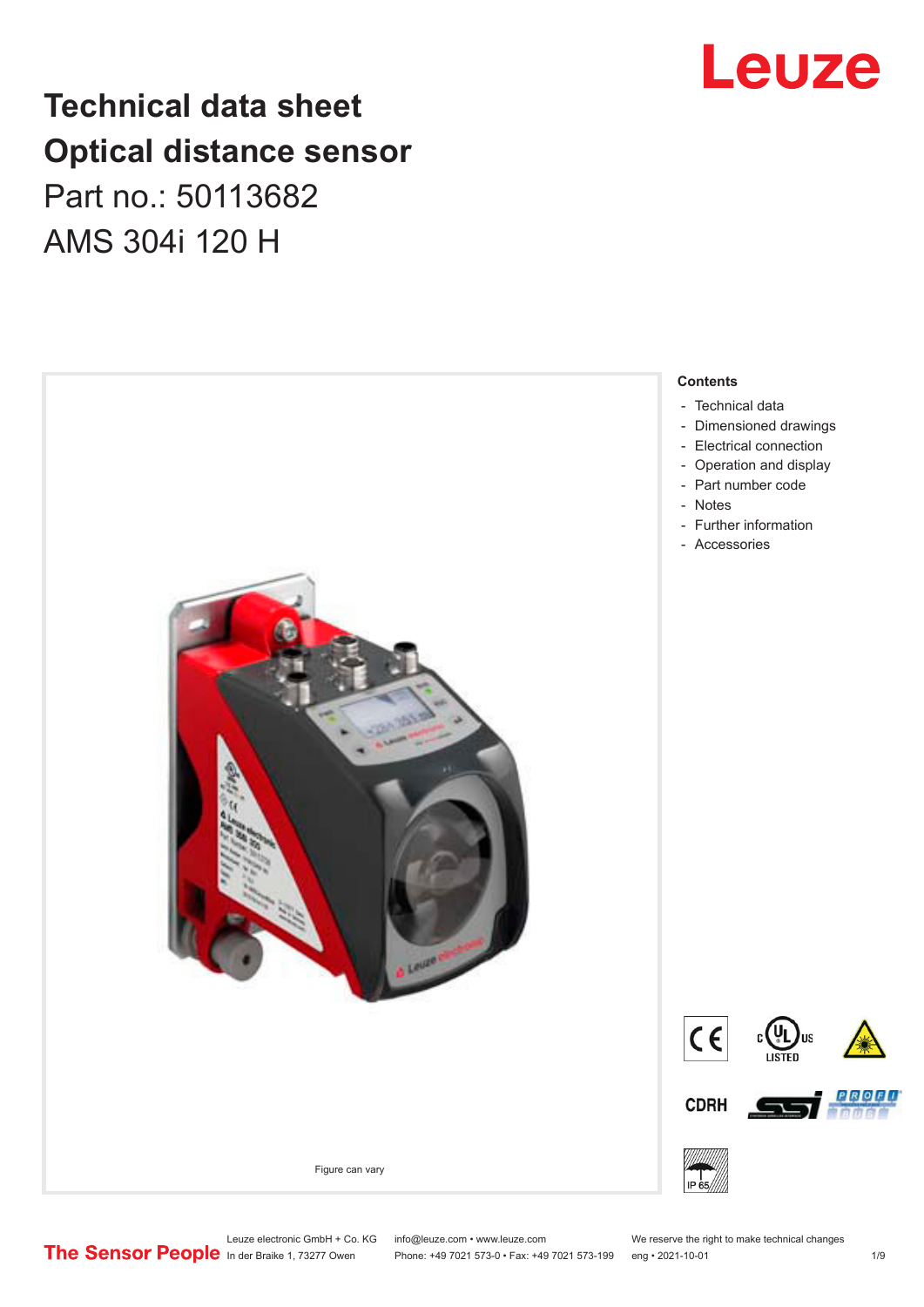## **Technical data sheet Optical distance sensor** Part no.: 50113682 AMS 304i 120 H





Leuze electronic GmbH + Co. KG info@leuze.com • www.leuze.com We reserve the right to make technical changes<br>
The Sensor People in der Braike 1, 73277 Owen Phone: +49 7021 573-0 • Fax: +49 7021 573-199 eng • 2021-10-01

Phone: +49 7021 573-0 • Fax: +49 7021 573-199 eng • 2021-10-01 1 2021-10-01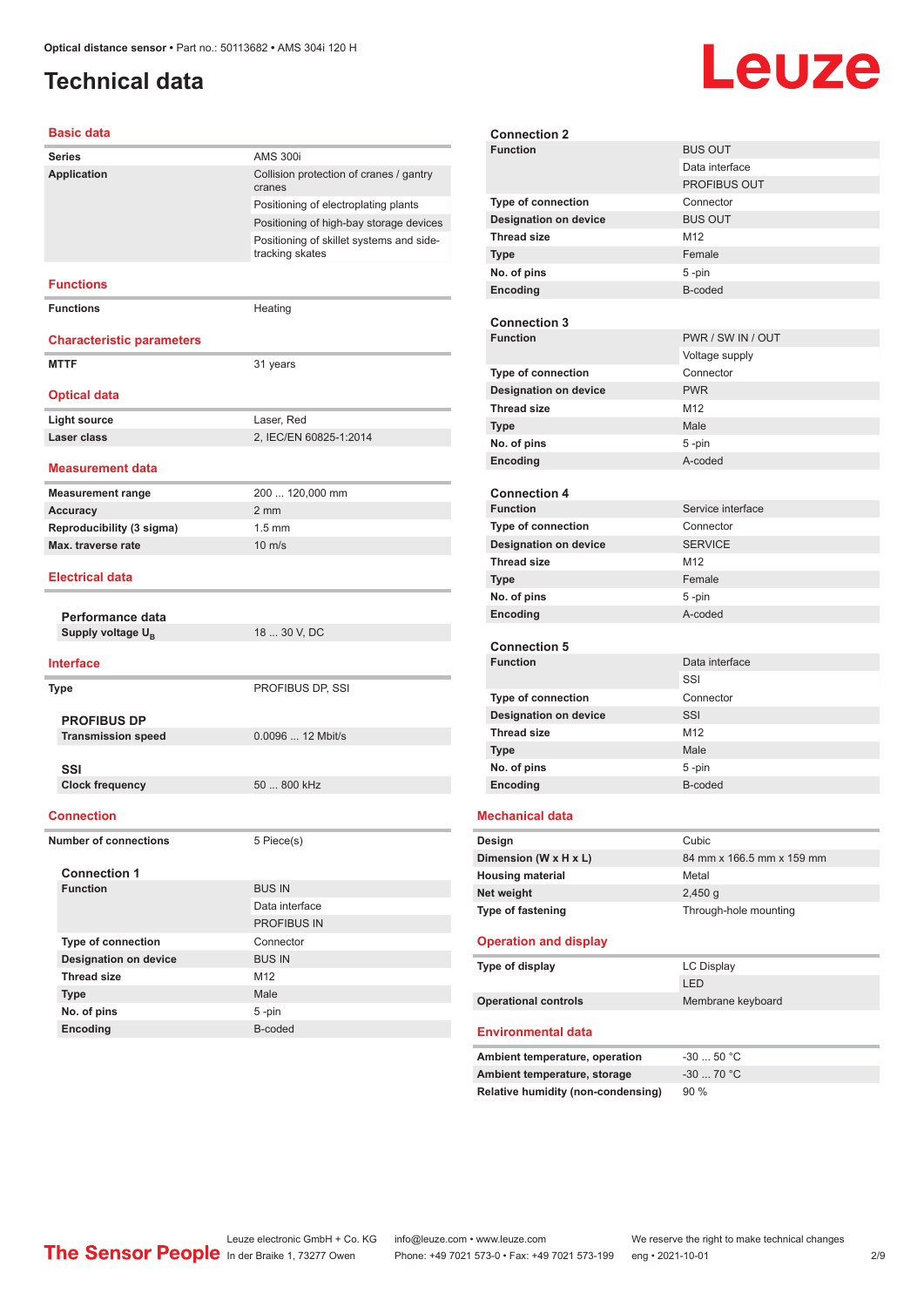## <span id="page-1-0"></span>**Technical data**

# Leuze

#### **Basic data**

| Series                                        | <b>AMS 300i</b>                                             |
|-----------------------------------------------|-------------------------------------------------------------|
| <b>Application</b>                            | Collision protection of cranes / gantry<br>cranes           |
|                                               | Positioning of electroplating plants                        |
|                                               | Positioning of high-bay storage devices                     |
|                                               | Positioning of skillet systems and side-<br>tracking skates |
| <b>Functions</b>                              |                                                             |
| <b>Functions</b>                              | Heating                                                     |
| <b>Characteristic parameters</b>              |                                                             |
| <b>MTTF</b>                                   | 31 years                                                    |
| <b>Optical data</b>                           |                                                             |
| <b>Light source</b>                           | Laser, Red                                                  |
| Laser class                                   | 2, IEC/EN 60825-1:2014                                      |
| <b>Measurement data</b>                       |                                                             |
| <b>Measurement range</b>                      | 200  120,000 mm                                             |
| <b>Accuracy</b>                               | $2 \, \text{mm}$                                            |
| Reproducibility (3 sigma)                     | $1.5$ mm                                                    |
| Max. traverse rate                            | $10 \text{ m/s}$                                            |
| <b>Electrical data</b>                        |                                                             |
| Performance data                              |                                                             |
| 18  30 V, DC<br>Supply voltage U <sub>B</sub> |                                                             |
| <b>Interface</b>                              |                                                             |
| Type                                          | PROFIBUS DP, SSI                                            |
| <b>PROFIBUS DP</b>                            |                                                             |
| <b>Transmission speed</b>                     | 0.0096  12 Mbit/s                                           |
|                                               |                                                             |
| SSI                                           | 50  800 kHz                                                 |
| <b>Clock frequency</b>                        |                                                             |
| <b>Connection</b>                             |                                                             |
| <b>Number of connections</b>                  | 5 Piece(s)                                                  |
| <b>Connection 1</b>                           |                                                             |
| <b>Function</b>                               | <b>BUS IN</b>                                               |
|                                               | Data interface                                              |
|                                               | PROFIBUS IN                                                 |
| Type of connection                            | Connector                                                   |
| <b>Designation on device</b>                  | <b>BUS IN</b>                                               |
| <b>Thread size</b>                            | M12                                                         |
| <b>Type</b>                                   | Male                                                        |
| No. of pins<br>Encoding                       | 5-pin<br>B-coded                                            |
|                                               |                                                             |

| <b>Connection 2</b>            |                           |
|--------------------------------|---------------------------|
| <b>Function</b>                | <b>BUS OUT</b>            |
|                                | Data interface            |
|                                | <b>PROFIBUS OUT</b>       |
| <b>Type of connection</b>      | Connector                 |
| <b>Designation on device</b>   | <b>BUS OUT</b>            |
| <b>Thread size</b>             | M12                       |
| <b>Type</b>                    | Female                    |
| No. of pins                    | 5-pin                     |
| Encoding                       | B-coded                   |
|                                |                           |
| <b>Connection 3</b>            |                           |
| <b>Function</b>                | PWR / SW IN / OUT         |
|                                | Voltage supply            |
| <b>Type of connection</b>      | Connector                 |
| <b>Designation on device</b>   | <b>PWR</b>                |
| <b>Thread size</b>             | M12                       |
| <b>Type</b>                    | Male                      |
| No. of pins                    | 5 -pin                    |
| Encoding                       | A-coded                   |
|                                |                           |
| <b>Connection 4</b>            |                           |
| <b>Function</b>                | Service interface         |
| <b>Type of connection</b>      | Connector                 |
| Designation on device          | <b>SERVICE</b>            |
| <b>Thread size</b>             | M12                       |
| <b>Type</b>                    | Female                    |
| No. of pins                    | 5-pin                     |
| Encoding                       | A-coded                   |
|                                |                           |
| <b>Connection 5</b>            |                           |
| <b>Function</b>                | Data interface            |
|                                | SSI                       |
| <b>Type of connection</b>      | Connector                 |
| <b>Designation on device</b>   | SSI                       |
| <b>Thread size</b>             | M <sub>12</sub>           |
| <b>Type</b>                    | Male                      |
| No. of pins                    | 5-pin                     |
| <b>Encoding</b>                | B-coded                   |
|                                |                           |
| Mechanical data                |                           |
| Design                         | Cubic                     |
| Dimension (W x H x L)          | 84 mm x 166.5 mm x 159 mm |
| <b>Housing material</b>        | Metal                     |
| Net weight                     | 2,450q                    |
| Type of fastening              | Through-hole mounting     |
|                                |                           |
| <b>Operation and display</b>   |                           |
| Type of display                | <b>LC Display</b>         |
|                                | LED                       |
| <b>Operational controls</b>    | Membrane keyboard         |
|                                |                           |
| <b>Environmental data</b>      |                           |
| Ambient temperature, operation | $-3050 °C$                |
|                                |                           |
| Ambient temperature, storage   | $-3070 °C$                |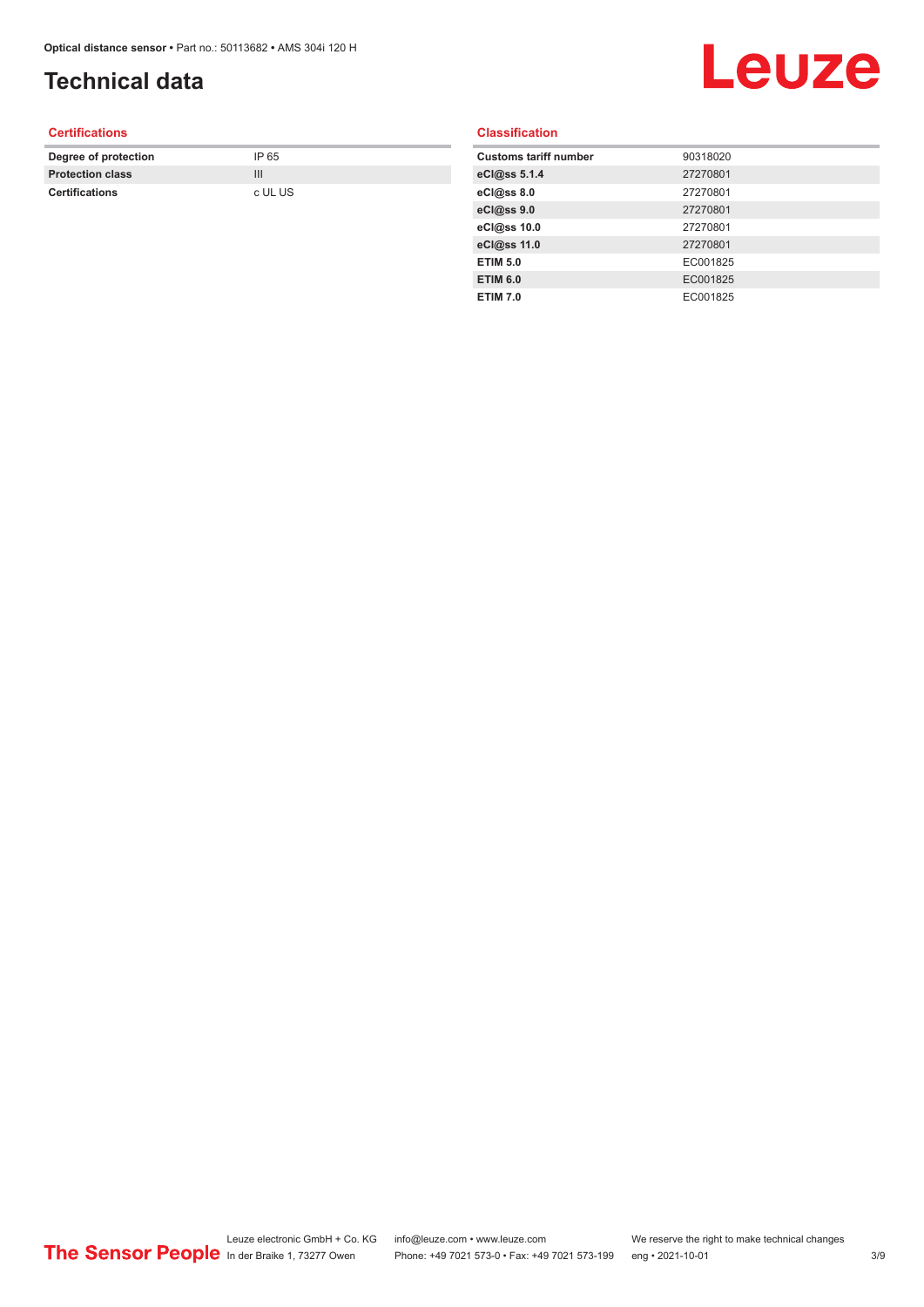## **Technical data**

## Leuze

#### **Certifications**

| Degree of protection    | IP 65   |
|-------------------------|---------|
| <b>Protection class</b> |         |
| <b>Certifications</b>   | c UL US |

#### **Classification**

| <b>Customs tariff number</b> | 90318020 |
|------------------------------|----------|
| eCl@ss 5.1.4                 | 27270801 |
| eCl@ss 8.0                   | 27270801 |
| eCl@ss 9.0                   | 27270801 |
| eCl@ss 10.0                  | 27270801 |
| eCl@ss 11.0                  | 27270801 |
| <b>ETIM 5.0</b>              | EC001825 |
| <b>ETIM 6.0</b>              | EC001825 |
| <b>ETIM 7.0</b>              | EC001825 |
|                              |          |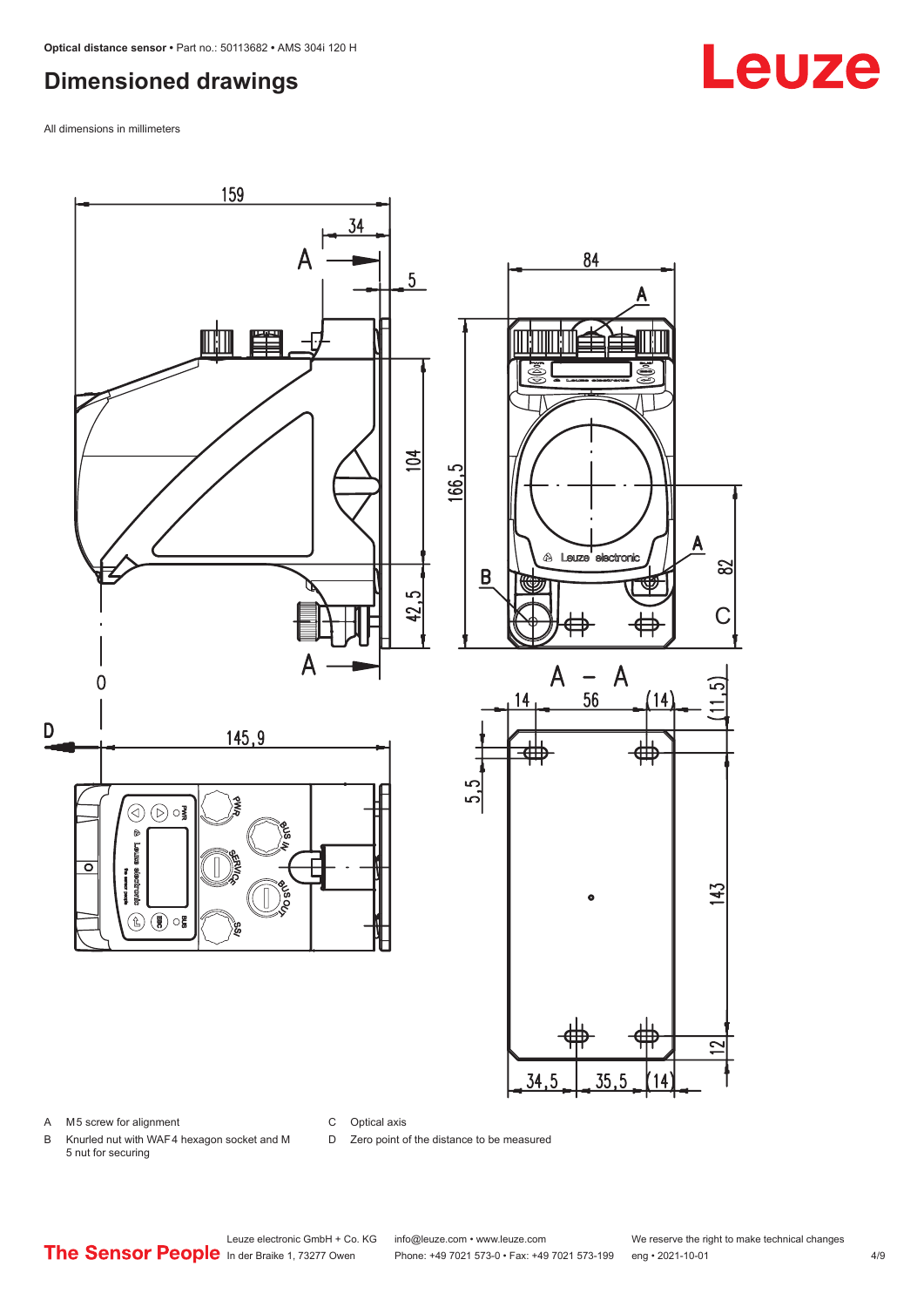## <span id="page-3-0"></span>**Dimensioned drawings**

All dimensions in millimeters



A M5 screw for alignment

C Optical axis

D Zero point of the distance to be measured

B Knurled nut with WAF 4 hexagon socket and M 5 nut for securing

## **Leuze**

Leuze electronic GmbH + Co. KG info@leuze.com • www.leuze.com We reserve the right to make technical changes<br>
The Sensor People in der Braike 1, 73277 Owen Phone: +49 7021 573-0 • Fax: +49 7021 573-199 eng • 2021-10-01

Phone: +49 7021 573-0 • Fax: +49 7021 573-199 eng • 2021-10-01 4/9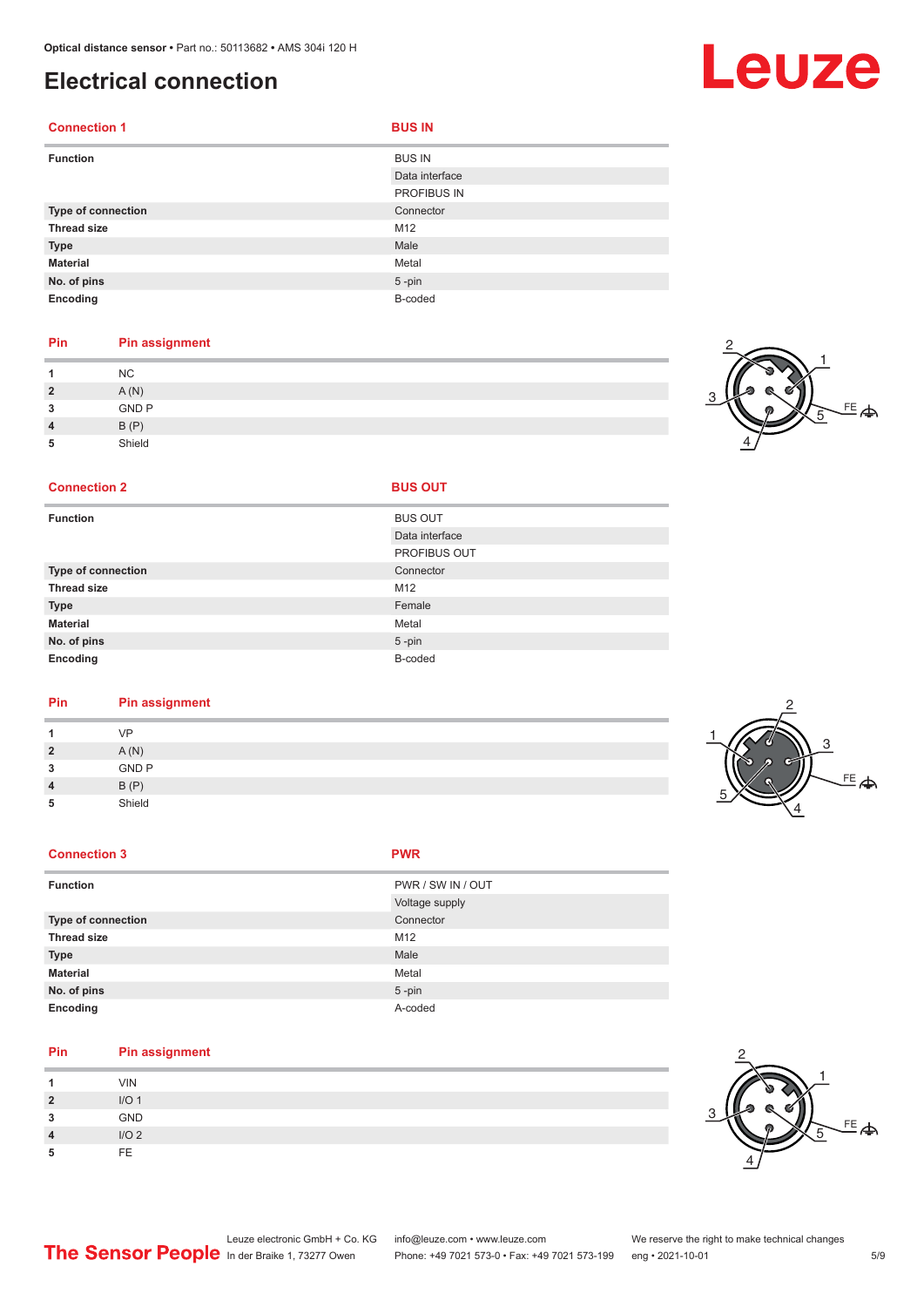## <span id="page-4-0"></span>**Electrical connection**

| <b>Connection 1</b>       | <b>BUS IN</b>  |
|---------------------------|----------------|
| <b>Function</b>           | <b>BUS IN</b>  |
|                           | Data interface |
|                           | PROFIBUS IN    |
| <b>Type of connection</b> | Connector      |
| <b>Thread size</b>        | M12            |
| <b>Type</b>               | Male           |
| <b>Material</b>           | Metal          |
| No. of pins               | $5$ -pin       |
| Encoding                  | B-coded        |

#### **Pin Pin assignment**

|          | <b>NC</b>    |  |  |  |
|----------|--------------|--|--|--|
| <u>?</u> | A(N)         |  |  |  |
| ໍາ<br>u  | <b>GND P</b> |  |  |  |
|          | B(P)         |  |  |  |
| 5        | Shield       |  |  |  |

#### **Connection 2**

| <b>Function</b>    | <b>BUS OUT</b>      |
|--------------------|---------------------|
|                    | Data interface      |
|                    | <b>PROFIBUS OUT</b> |
| Type of connection | Connector           |
| <b>Thread size</b> | M12                 |
| <b>Type</b>        | Female              |
| <b>Material</b>    | Metal               |
| No. of pins        | $5 - pin$           |
| Encoding           | B-coded             |
|                    |                     |

#### **Pin Pin assignment**

|                | VP           | ∽ |
|----------------|--------------|---|
| $\overline{2}$ | A(N)         |   |
| 3              | <b>GND P</b> |   |
| $\overline{4}$ | B(P)         |   |
| 5              | Shield       |   |

#### **Connection 3 PWR**

| <b>Function</b>    | PWR / SW IN / OUT |
|--------------------|-------------------|
|                    | Voltage supply    |
| Type of connection | Connector         |
| <b>Thread size</b> | M12               |
| <b>Type</b>        | Male              |
| <b>Material</b>    | Metal             |
| No. of pins        | $5$ -pin          |
| Encoding           | A-coded           |

#### **Pin Pin assignment**

|                        | <b>VIN</b>       |
|------------------------|------------------|
| <u>?</u>               | I/O <sub>1</sub> |
| 3                      | GND              |
| $\boldsymbol{\Lambda}$ | I/O2             |
| 5                      | FF.              |



4



<sub>또</sub>

1

5

2

4

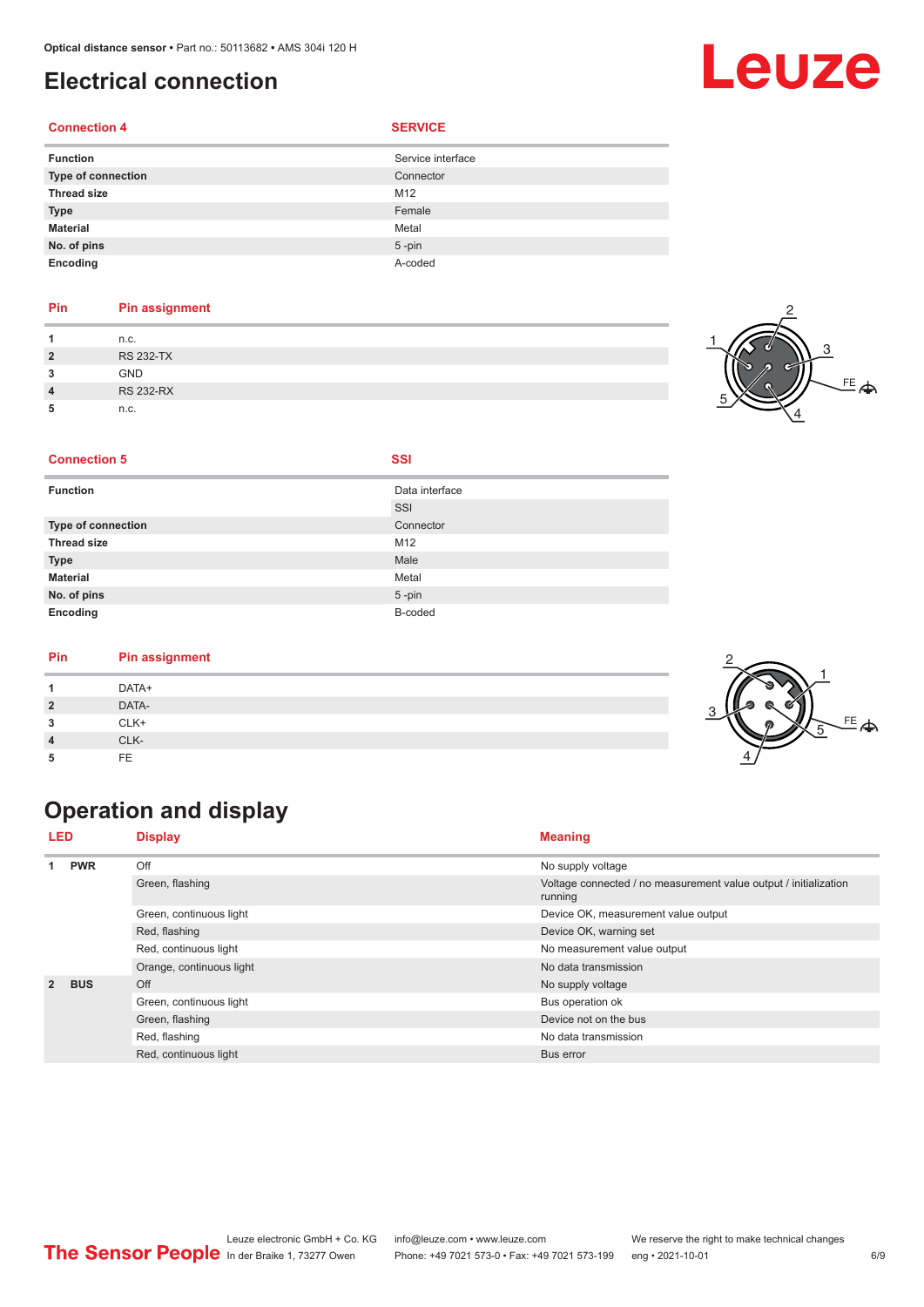## <span id="page-5-0"></span>**Electrical connection**

#### **Connection 4 SERVICE**

| <b>Function</b>    | Service interface |
|--------------------|-------------------|
| Type of connection | Connector         |
| <b>Thread size</b> | M12               |
| <b>Type</b>        | Female            |
| <b>Material</b>    | Metal             |
| No. of pins        | $5 - pin$         |
| Encoding           | A-coded           |

#### **Pin Pin assignment**

|                | n.c.             | 71 |
|----------------|------------------|----|
| $\overline{2}$ | <b>RS 232-TX</b> |    |
| 2<br>w         | <b>GND</b>       |    |
| $\overline{4}$ | <b>RS 232-RX</b> |    |
| 5              | n.c.             |    |



#### **Connection 5 SSI**

| <b>Function</b>    | Data interface |
|--------------------|----------------|
|                    | SSI            |
| Type of connection | Connector      |
| <b>Thread size</b> | M12            |
| <b>Type</b>        | Male           |
| <b>Material</b>    | Metal          |
| No. of pins        | $5$ -pin       |
| Encoding           | B-coded        |

#### **Pin Pin assignment**

| Pin | Pin assignment |        |
|-----|----------------|--------|
|     | DATA+          |        |
| ຳ   | DATA-          |        |
| -   | CLK+           | $\sim$ |
|     | CLK-           |        |
| 5   | FE             |        |

## **Operation and display**

| <b>LED</b>     |                         | <b>Display</b>           | <b>Meaning</b>                                                              |
|----------------|-------------------------|--------------------------|-----------------------------------------------------------------------------|
|                | <b>PWR</b>              | Off                      | No supply voltage                                                           |
|                |                         | Green, flashing          | Voltage connected / no measurement value output / initialization<br>running |
|                |                         | Green, continuous light  | Device OK, measurement value output                                         |
|                |                         | Red, flashing            | Device OK, warning set                                                      |
|                |                         | Red, continuous light    | No measurement value output                                                 |
|                |                         | Orange, continuous light | No data transmission                                                        |
| $\overline{2}$ | <b>BUS</b>              | Off                      | No supply voltage                                                           |
|                | Green, continuous light | Bus operation ok         |                                                                             |
|                | Green, flashing         | Device not on the bus    |                                                                             |
|                |                         | Red, flashing            | No data transmission                                                        |
|                | Red, continuous light   | Bus error                |                                                                             |





## Leuze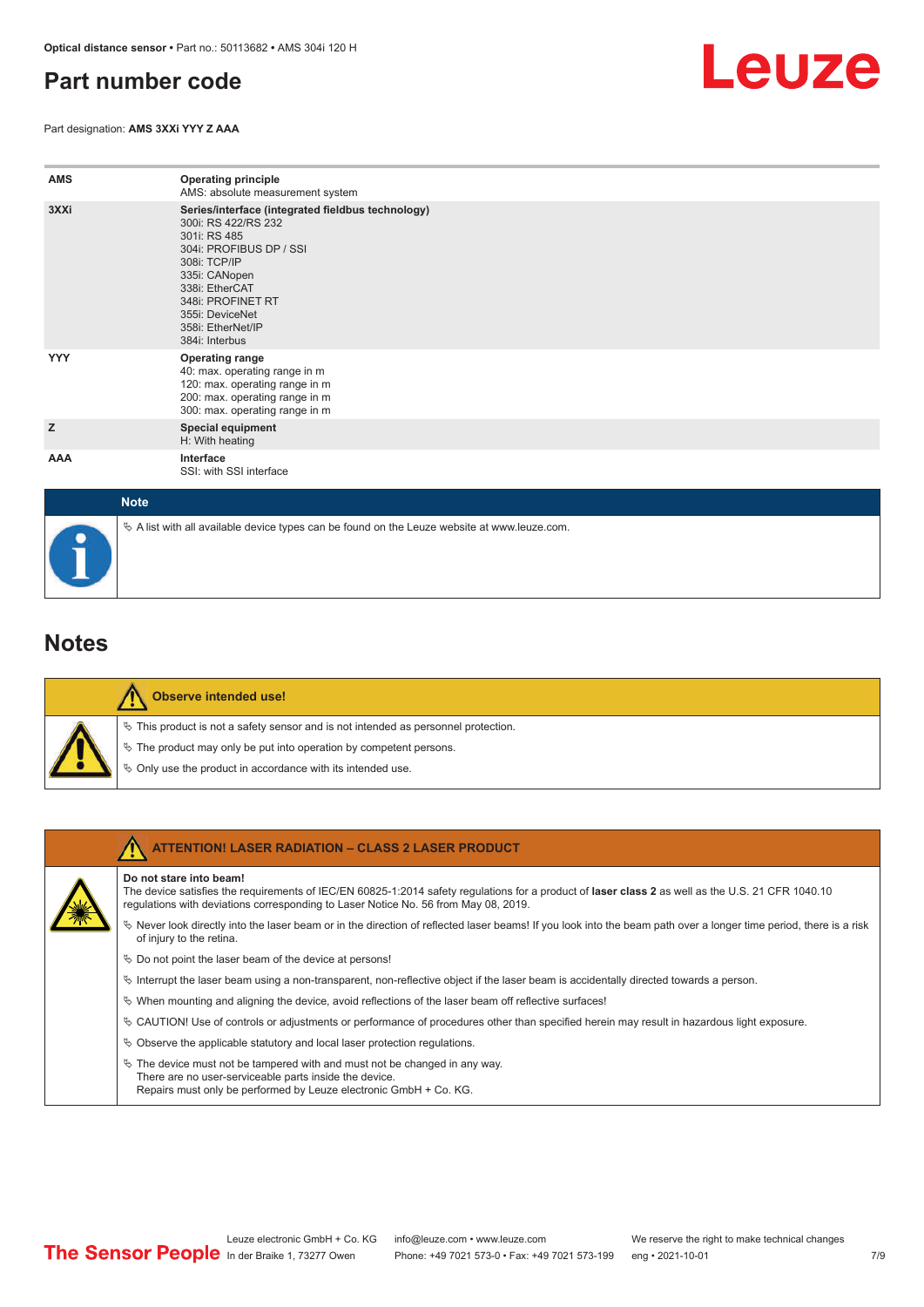## <span id="page-6-0"></span>**Part number code**

Part designation: **AMS 3XXi YYY Z AAA**



| <b>AMS</b> | <b>Operating principle</b><br>AMS: absolute measurement system                                                                                                                                                                                        |
|------------|-------------------------------------------------------------------------------------------------------------------------------------------------------------------------------------------------------------------------------------------------------|
| 3XXi       | Series/interface (integrated fieldbus technology)<br>300i: RS 422/RS 232<br>301i: RS 485<br>304i: PROFIBUS DP / SSI<br>308i: TCP/IP<br>335i: CANopen<br>338i: EtherCAT<br>348i: PROFINET RT<br>355i: DeviceNet<br>358i: EtherNet/IP<br>384i: Interbus |
| <b>YYY</b> | <b>Operating range</b><br>40: max. operating range in m<br>120: max. operating range in m<br>200: max. operating range in m<br>300: max. operating range in m                                                                                         |
| z          | <b>Special equipment</b><br>H: With heating                                                                                                                                                                                                           |
| AAA        | Interface<br>SSI: with SSI interface                                                                                                                                                                                                                  |

| <b>Note</b>                                                                                  |
|----------------------------------------------------------------------------------------------|
| % A list with all available device types can be found on the Leuze website at www.leuze.com. |

### **Notes**

| ¢            |
|--------------|
| Ğ,<br>$\phi$ |

#### **Observe intended use!**

 $\%$  This product is not a safety sensor and is not intended as personnel protection.

- $\%$  The product may only be put into operation by competent persons.
- $\%$  Only use the product in accordance with its intended use.

| <b>ATTENTION! LASER RADIATION - CLASS 2 LASER PRODUCT</b>                                                                                                                                                                                                           |
|---------------------------------------------------------------------------------------------------------------------------------------------------------------------------------------------------------------------------------------------------------------------|
| Do not stare into beam!<br>The device satisfies the requirements of IEC/EN 60825-1:2014 safety regulations for a product of laser class 2 as well as the U.S. 21 CFR 1040.10<br>requlations with deviations corresponding to Laser Notice No. 56 from May 08, 2019. |
| Never look directly into the laser beam or in the direction of reflected laser beams! If you look into the beam path over a longer time period, there is a risk<br>of injury to the retina.                                                                         |
| $\%$ Do not point the laser beam of the device at persons!                                                                                                                                                                                                          |
| $\%$ Interrupt the laser beam using a non-transparent, non-reflective object if the laser beam is accidentally directed towards a person.                                                                                                                           |
| $\%$ When mounting and aligning the device, avoid reflections of the laser beam off reflective surfaces!                                                                                                                                                            |
| © CAUTION! Use of controls or adjustments or performance of procedures other than specified herein may result in hazardous light exposure.                                                                                                                          |
| $\&$ Observe the applicable statutory and local laser protection regulations.                                                                                                                                                                                       |
| $\%$ The device must not be tampered with and must not be changed in any way.<br>There are no user-serviceable parts inside the device.<br>Repairs must only be performed by Leuze electronic GmbH + Co. KG.                                                        |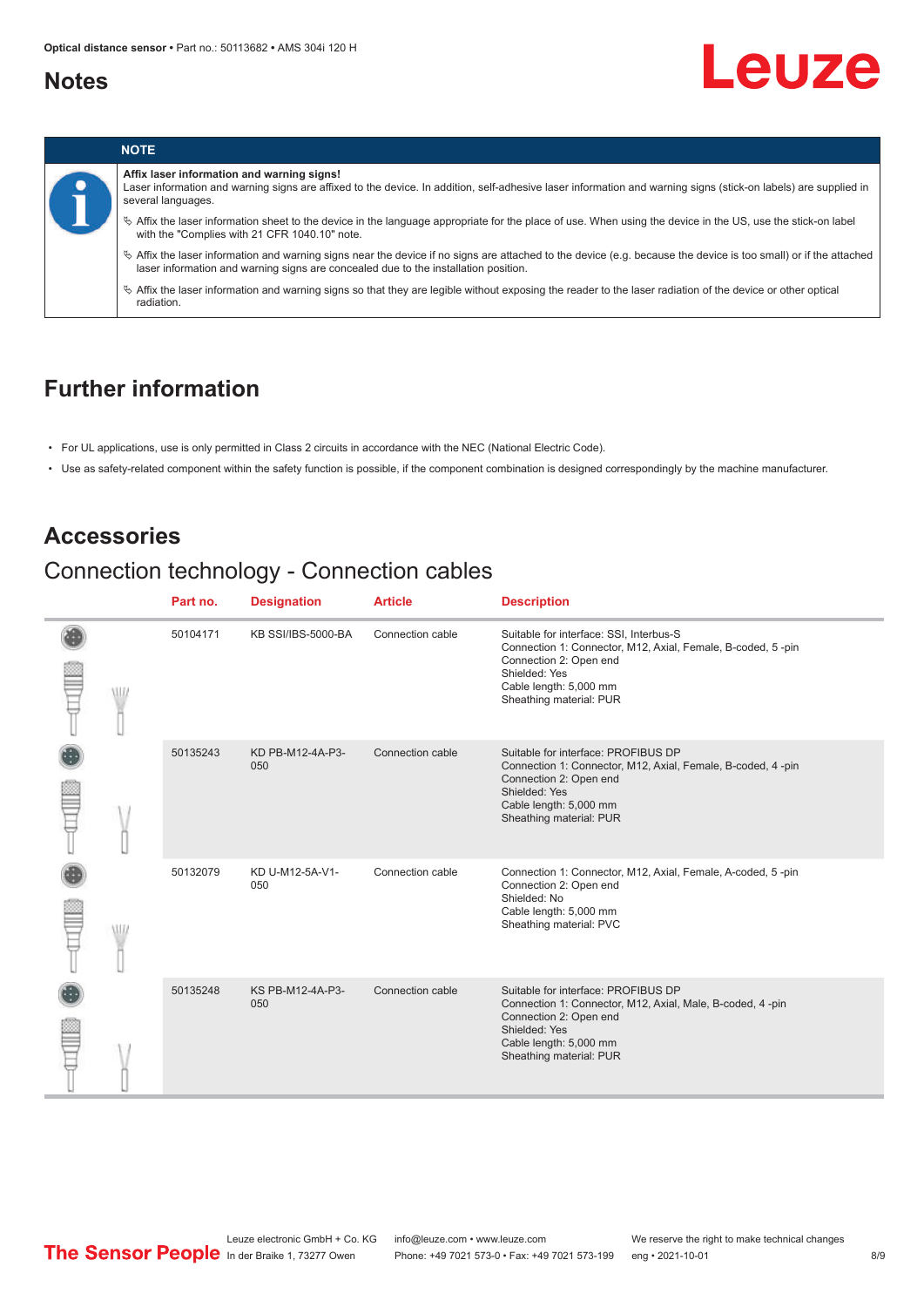### <span id="page-7-0"></span>**Notes**

# Leuze

![](_page_7_Picture_3.jpeg)

#### **Affix laser information and warning signs!**

Laser information and warning signs are affixed to the device. In addition, self-adhesive laser information and warning signs (stick-on labels) are supplied in several languages.

ª Affix the laser information sheet to the device in the language appropriate for the place of use. When using the device in the US, use the stick-on label with the "Complies with 21 CFR 1040.10" note.

ª Affix the laser information and warning signs near the device if no signs are attached to the device (e.g. because the device is too small) or if the attached laser information and warning signs are concealed due to the installation position.

 $\%$  Affix the laser information and warning signs so that they are legible without exposing the reader to the laser radiation of the device or other optical radiation.

### **Further information**

- For UL applications, use is only permitted in Class 2 circuits in accordance with the NEC (National Electric Code).
- Use as safety-related component within the safety function is possible, if the component combination is designed correspondingly by the machine manufacturer.

### **Accessories**

## Connection technology - Connection cables

|  |   | Part no. | <b>Designation</b>      | <b>Article</b>   | <b>Description</b>                                                                                                                                                                                     |
|--|---|----------|-------------------------|------------------|--------------------------------------------------------------------------------------------------------------------------------------------------------------------------------------------------------|
|  |   | 50104171 | KB SSI/IBS-5000-BA      | Connection cable | Suitable for interface: SSI, Interbus-S<br>Connection 1: Connector, M12, Axial, Female, B-coded, 5-pin<br>Connection 2: Open end<br>Shielded: Yes<br>Cable length: 5,000 mm<br>Sheathing material: PUR |
|  | W | 50135243 | KD PB-M12-4A-P3-<br>050 | Connection cable | Suitable for interface: PROFIBUS DP<br>Connection 1: Connector, M12, Axial, Female, B-coded, 4 -pin<br>Connection 2: Open end<br>Shielded: Yes<br>Cable length: 5,000 mm<br>Sheathing material: PUR    |
|  |   | 50132079 | KD U-M12-5A-V1-<br>050  | Connection cable | Connection 1: Connector, M12, Axial, Female, A-coded, 5-pin<br>Connection 2: Open end<br>Shielded: No<br>Cable length: 5,000 mm<br>Sheathing material: PVC                                             |
|  |   | 50135248 | KS PB-M12-4A-P3-<br>050 | Connection cable | Suitable for interface: PROFIBUS DP<br>Connection 1: Connector, M12, Axial, Male, B-coded, 4-pin<br>Connection 2: Open end<br>Shielded: Yes<br>Cable length: 5,000 mm<br>Sheathing material: PUR       |